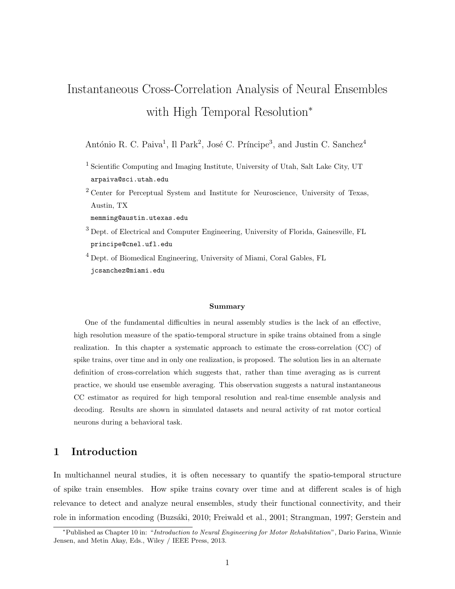# Instantaneous Cross-Correlation Analysis of Neural Ensembles with High Temporal Resolution<sup>∗</sup>

António R. C. Paiva<sup>1</sup>, Il Park<sup>2</sup>, José C. Príncipe<sup>3</sup>, and Justin C. Sanchez<sup>4</sup>

- <sup>1</sup> Scientific Computing and Imaging Institute, University of Utah, Salt Lake City, UT arpaiva@sci.utah.edu
- <sup>2</sup> Center for Perceptual System and Institute for Neuroscience, University of Texas, Austin, TX
- memming@austin.utexas.edu
- <sup>3</sup> Dept. of Electrical and Computer Engineering, University of Florida, Gainesville, FL principe@cnel.ufl.edu
- $<sup>4</sup>$  Dept. of Biomedical Engineering, University of Miami, Coral Gables, FL</sup> jcsanchez@miami.edu

#### Summary

One of the fundamental difficulties in neural assembly studies is the lack of an effective, high resolution measure of the spatio-temporal structure in spike trains obtained from a single realization. In this chapter a systematic approach to estimate the cross-correlation (CC) of spike trains, over time and in only one realization, is proposed. The solution lies in an alternate definition of cross-correlation which suggests that, rather than time averaging as is current practice, we should use ensemble averaging. This observation suggests a natural instantaneous CC estimator as required for high temporal resolution and real-time ensemble analysis and decoding. Results are shown in simulated datasets and neural activity of rat motor cortical neurons during a behavioral task.

## 1 Introduction

In multichannel neural studies, it is often necessary to quantify the spatio-temporal structure of spike train ensembles. How spike trains covary over time and at different scales is of high relevance to detect and analyze neural ensembles, study their functional connectivity, and their role in information encoding (Buzsáki, 2010; Freiwald et al., 2001; Strangman, 1997; Gerstein and

<sup>∗</sup>Published as Chapter 10 in: "Introduction to Neural Engineering for Motor Rehabilitation", Dario Farina, Winnie Jensen, and Metin Akay, Eds., Wiley / IEEE Press, 2013.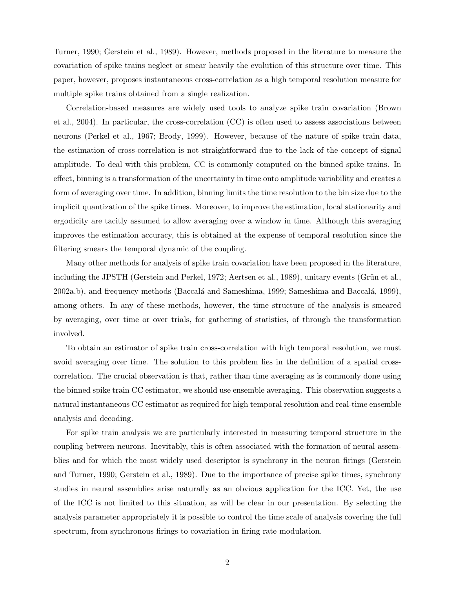Turner, 1990; Gerstein et al., 1989). However, methods proposed in the literature to measure the covariation of spike trains neglect or smear heavily the evolution of this structure over time. This paper, however, proposes instantaneous cross-correlation as a high temporal resolution measure for multiple spike trains obtained from a single realization.

Correlation-based measures are widely used tools to analyze spike train covariation (Brown et al., 2004). In particular, the cross-correlation (CC) is often used to assess associations between neurons (Perkel et al., 1967; Brody, 1999). However, because of the nature of spike train data, the estimation of cross-correlation is not straightforward due to the lack of the concept of signal amplitude. To deal with this problem, CC is commonly computed on the binned spike trains. In effect, binning is a transformation of the uncertainty in time onto amplitude variability and creates a form of averaging over time. In addition, binning limits the time resolution to the bin size due to the implicit quantization of the spike times. Moreover, to improve the estimation, local stationarity and ergodicity are tacitly assumed to allow averaging over a window in time. Although this averaging improves the estimation accuracy, this is obtained at the expense of temporal resolution since the filtering smears the temporal dynamic of the coupling.

Many other methods for analysis of spike train covariation have been proposed in the literature, including the JPSTH (Gerstein and Perkel, 1972; Aertsen et al., 1989), unitary events (Grün et al., 2002a,b), and frequency methods (Baccalá and Sameshima, 1999; Sameshima and Baccalá, 1999), among others. In any of these methods, however, the time structure of the analysis is smeared by averaging, over time or over trials, for gathering of statistics, of through the transformation involved.

To obtain an estimator of spike train cross-correlation with high temporal resolution, we must avoid averaging over time. The solution to this problem lies in the definition of a spatial crosscorrelation. The crucial observation is that, rather than time averaging as is commonly done using the binned spike train CC estimator, we should use ensemble averaging. This observation suggests a natural instantaneous CC estimator as required for high temporal resolution and real-time ensemble analysis and decoding.

For spike train analysis we are particularly interested in measuring temporal structure in the coupling between neurons. Inevitably, this is often associated with the formation of neural assemblies and for which the most widely used descriptor is synchrony in the neuron firings (Gerstein and Turner, 1990; Gerstein et al., 1989). Due to the importance of precise spike times, synchrony studies in neural assemblies arise naturally as an obvious application for the ICC. Yet, the use of the ICC is not limited to this situation, as will be clear in our presentation. By selecting the analysis parameter appropriately it is possible to control the time scale of analysis covering the full spectrum, from synchronous firings to covariation in firing rate modulation.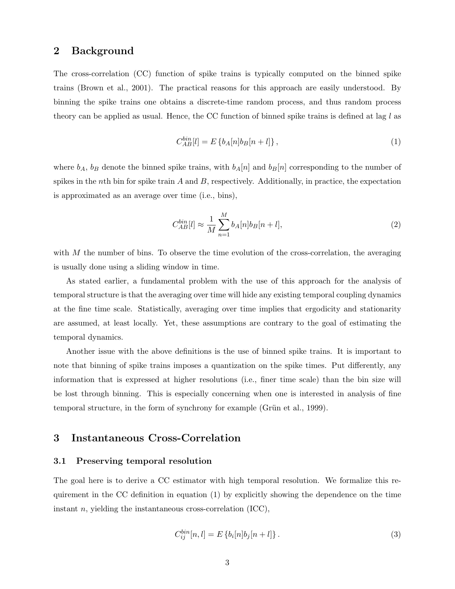## 2 Background

The cross-correlation (CC) function of spike trains is typically computed on the binned spike trains (Brown et al., 2001). The practical reasons for this approach are easily understood. By binning the spike trains one obtains a discrete-time random process, and thus random process theory can be applied as usual. Hence, the CC function of binned spike trains is defined at lag  $l$  as

$$
C_{AB}^{bin}[l] = E\{b_A[n]b_B[n+l]\},\tag{1}
$$

where  $b_A$ ,  $b_B$  denote the binned spike trains, with  $b_A[n]$  and  $b_B[n]$  corresponding to the number of spikes in the nth bin for spike train  $A$  and  $B$ , respectively. Additionally, in practice, the expectation is approximated as an average over time (i.e., bins),

$$
C_{AB}^{bin}[l] \approx \frac{1}{M} \sum_{n=1}^{M} b_A[n] b_B[n+l],\tag{2}
$$

with  $M$  the number of bins. To observe the time evolution of the cross-correlation, the averaging is usually done using a sliding window in time.

As stated earlier, a fundamental problem with the use of this approach for the analysis of temporal structure is that the averaging over time will hide any existing temporal coupling dynamics at the fine time scale. Statistically, averaging over time implies that ergodicity and stationarity are assumed, at least locally. Yet, these assumptions are contrary to the goal of estimating the temporal dynamics.

Another issue with the above definitions is the use of binned spike trains. It is important to note that binning of spike trains imposes a quantization on the spike times. Put differently, any information that is expressed at higher resolutions (i.e., finer time scale) than the bin size will be lost through binning. This is especially concerning when one is interested in analysis of fine temporal structure, in the form of synchrony for example (Grün et al., 1999).

## 3 Instantaneous Cross-Correlation

#### 3.1 Preserving temporal resolution

The goal here is to derive a CC estimator with high temporal resolution. We formalize this requirement in the CC definition in equation (1) by explicitly showing the dependence on the time instant  $n$ , yielding the instantaneous cross-correlation  $(ICC)$ ,

$$
C_{ij}^{bin}[n,l] = E\{b_i[n]b_j[n+l]\}.
$$
\n(3)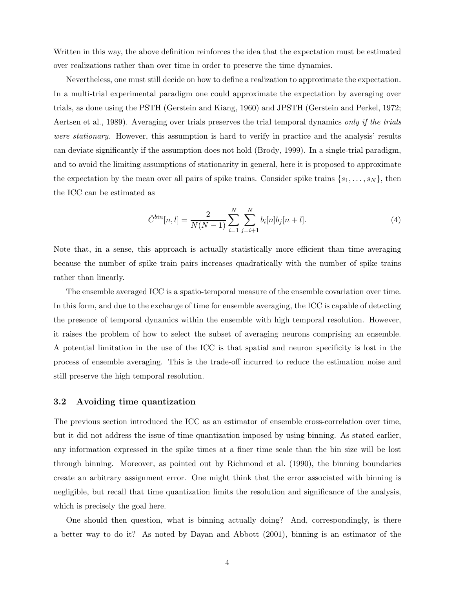Written in this way, the above definition reinforces the idea that the expectation must be estimated over realizations rather than over time in order to preserve the time dynamics.

Nevertheless, one must still decide on how to define a realization to approximate the expectation. In a multi-trial experimental paradigm one could approximate the expectation by averaging over trials, as done using the PSTH (Gerstein and Kiang, 1960) and JPSTH (Gerstein and Perkel, 1972; Aertsen et al., 1989). Averaging over trials preserves the trial temporal dynamics only if the trials were stationary. However, this assumption is hard to verify in practice and the analysis' results can deviate significantly if the assumption does not hold (Brody, 1999). In a single-trial paradigm, and to avoid the limiting assumptions of stationarity in general, here it is proposed to approximate the expectation by the mean over all pairs of spike trains. Consider spike trains  $\{s_1, \ldots, s_N\}$ , then the ICC can be estimated as

$$
\hat{C}^{bin}[n,l] = \frac{2}{N(N-1)} \sum_{i=1}^{N} \sum_{j=i+1}^{N} b_i[n]b_j[n+l].
$$
\n(4)

Note that, in a sense, this approach is actually statistically more efficient than time averaging because the number of spike train pairs increases quadratically with the number of spike trains rather than linearly.

The ensemble averaged ICC is a spatio-temporal measure of the ensemble covariation over time. In this form, and due to the exchange of time for ensemble averaging, the ICC is capable of detecting the presence of temporal dynamics within the ensemble with high temporal resolution. However, it raises the problem of how to select the subset of averaging neurons comprising an ensemble. A potential limitation in the use of the ICC is that spatial and neuron specificity is lost in the process of ensemble averaging. This is the trade-off incurred to reduce the estimation noise and still preserve the high temporal resolution.

#### 3.2 Avoiding time quantization

The previous section introduced the ICC as an estimator of ensemble cross-correlation over time, but it did not address the issue of time quantization imposed by using binning. As stated earlier, any information expressed in the spike times at a finer time scale than the bin size will be lost through binning. Moreover, as pointed out by Richmond et al. (1990), the binning boundaries create an arbitrary assignment error. One might think that the error associated with binning is negligible, but recall that time quantization limits the resolution and significance of the analysis, which is precisely the goal here.

One should then question, what is binning actually doing? And, correspondingly, is there a better way to do it? As noted by Dayan and Abbott (2001), binning is an estimator of the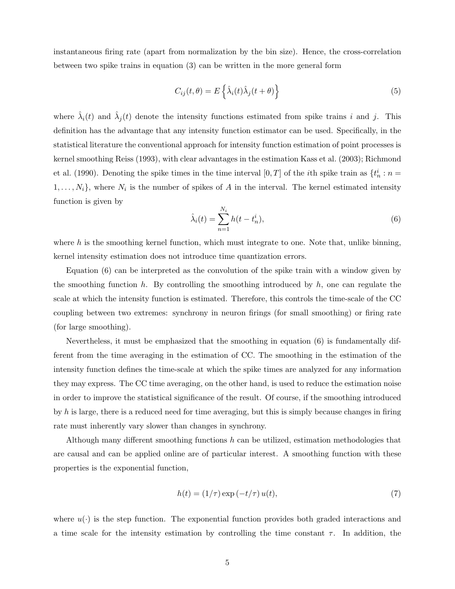instantaneous firing rate (apart from normalization by the bin size). Hence, the cross-correlation between two spike trains in equation (3) can be written in the more general form

$$
C_{ij}(t,\theta) = E\left\{\hat{\lambda}_i(t)\hat{\lambda}_j(t+\theta)\right\}
$$
\n(5)

where  $\hat{\lambda}_i(t)$  and  $\hat{\lambda}_j(t)$  denote the intensity functions estimated from spike trains i and j. This definition has the advantage that any intensity function estimator can be used. Specifically, in the statistical literature the conventional approach for intensity function estimation of point processes is kernel smoothing Reiss (1993), with clear advantages in the estimation Kass et al. (2003); Richmond et al. (1990). Denoting the spike times in the time interval  $[0,T]$  of the *i*th spike train as  $\{t_n^i : n =$  $1, \ldots, N_i$ , where  $N_i$  is the number of spikes of A in the interval. The kernel estimated intensity function is given by

$$
\hat{\lambda}_i(t) = \sum_{n=1}^{N_i} h(t - t_n^i),
$$
\n(6)

where  $h$  is the smoothing kernel function, which must integrate to one. Note that, unlike binning, kernel intensity estimation does not introduce time quantization errors.

Equation (6) can be interpreted as the convolution of the spike train with a window given by the smoothing function h. By controlling the smoothing introduced by  $h$ , one can regulate the scale at which the intensity function is estimated. Therefore, this controls the time-scale of the CC coupling between two extremes: synchrony in neuron firings (for small smoothing) or firing rate (for large smoothing).

Nevertheless, it must be emphasized that the smoothing in equation (6) is fundamentally different from the time averaging in the estimation of CC. The smoothing in the estimation of the intensity function defines the time-scale at which the spike times are analyzed for any information they may express. The CC time averaging, on the other hand, is used to reduce the estimation noise in order to improve the statistical significance of the result. Of course, if the smoothing introduced by  $h$  is large, there is a reduced need for time averaging, but this is simply because changes in firing rate must inherently vary slower than changes in synchrony.

Although many different smoothing functions  $h$  can be utilized, estimation methodologies that are causal and can be applied online are of particular interest. A smoothing function with these properties is the exponential function,

$$
h(t) = (1/\tau) \exp\left(-t/\tau\right) u(t),\tag{7}
$$

where  $u(\cdot)$  is the step function. The exponential function provides both graded interactions and a time scale for the intensity estimation by controlling the time constant  $\tau$ . In addition, the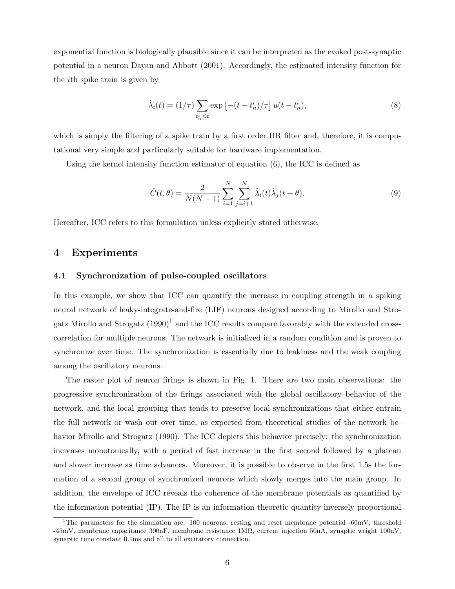exponential function is biologically plausible since it can be interpreted as the evoked post-synaptic potential in a neuron Dayan and Abbott (2001). Accordingly, the estimated intensity function for the ith spike train is given by

$$
\hat{\lambda}_i(t) = (1/\tau) \sum_{t_n \le t} \exp\left[ -(t - t_n^i)/\tau \right] u(t - t_n^i),\tag{8}
$$

which is simply the filtering of a spike train by a first order IIR filter and, therefore, it is computational very simple and particularly suitable for hardware implementation.

Using the kernel intensity function estimator of equation (6), the ICC is defined as

$$
\hat{C}(t,\theta) = \frac{2}{N(N-1)} \sum_{i=1}^{N} \sum_{j=i+1}^{N} \hat{\lambda}_i(t) \hat{\lambda}_j(t+\theta).
$$
\n(9)

Hereafter, ICC refers to this formulation unless explicitly stated otherwise.

## 4 Experiments

### 4.1 Synchronization of pulse-coupled oscillators

In this example, we show that ICC can quantify the increase in coupling strength in a spiking neural network of leaky-integrate-and-fire (LIF) neurons designed according to Mirollo and Strogatz Mirollo and Strogatz  $(1990)^1$  and the ICC results compare favorably with the extended crosscorrelation for multiple neurons. The network is initialized in a random condition and is proven to synchronize over time. The synchronization is essentially due to leakiness and the weak coupling among the oscillatory neurons.

The raster plot of neuron firings is shown in Fig. 1. There are two main observations: the progressive synchronization of the firings associated with the global oscillatory behavior of the network, and the local grouping that tends to preserve local synchronizations that either entrain the full network or wash out over time, as expected from theoretical studies of the network behavior Mirollo and Strogatz (1990). The ICC depicts this behavior precisely: the synchronization increases monotonically, with a period of fast increase in the first second followed by a plateau and slower increase as time advances. Moreover, it is possible to observe in the first 1.5s the formation of a second group of synchronized neurons which slowly merges into the main group. In addition, the envelope of ICC reveals the coherence of the membrane potentials as quantified by the information potential (IP). The IP is an information theoretic quantity inversely proportional

<sup>&</sup>lt;sup>1</sup>The parameters for the simulation are: 100 neurons, resting and reset membrane potential -60mV, threshold -45mV, membrane capacitance 300nF, membrane resistance 1MΩ, current injection 50nA, synaptic weight 100nV, synaptic time constant 0.1ms and all to all excitatory connection.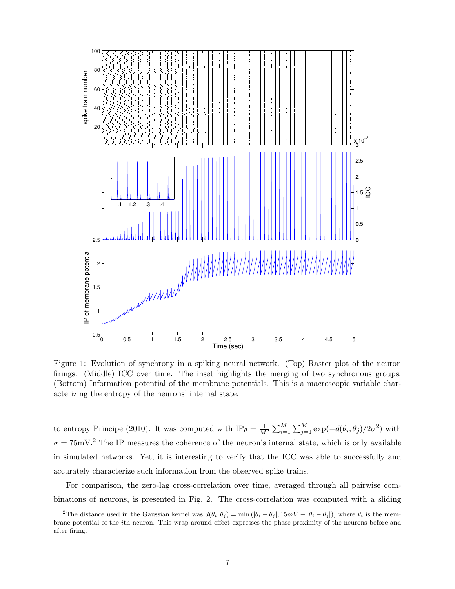

Figure 1: Evolution of synchrony in a spiking neural network. (Top) Raster plot of the neuron firings. (Middle) ICC over time. The inset highlights the merging of two synchronous groups. (Bottom) Information potential of the membrane potentials. This is a macroscopic variable characterizing the entropy of the neurons' internal state.

to entropy Principe (2010). It was computed with  $IP_\theta = \frac{1}{M^2} \sum_{i=1}^M \sum_{j=1}^M \exp(-d(\theta_i, \theta_j)/2\sigma^2)$  with  $\sigma = 75 \text{mV}^2$ . The IP measures the coherence of the neuron's internal state, which is only available in simulated networks. Yet, it is interesting to verify that the ICC was able to successfully and accurately characterize such information from the observed spike trains.

For comparison, the zero-lag cross-correlation over time, averaged through all pairwise combinations of neurons, is presented in Fig. 2. The cross-correlation was computed with a sliding

<sup>&</sup>lt;sup>2</sup>The distance used in the Gaussian kernel was  $d(\theta_i, \theta_j) = \min(|\theta_i - \theta_j|, 15mV - |\theta_i - \theta_j|)$ , where  $\theta_i$  is the membrane potential of the ith neuron. This wrap-around effect expresses the phase proximity of the neurons before and after firing.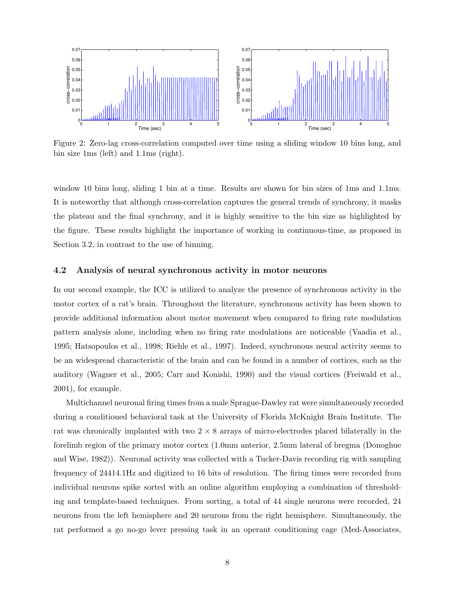

Figure 2: Zero-lag cross-correlation computed over time using a sliding window 10 bins long, and bin size 1ms (left) and 1.1ms (right).

window 10 bins long, sliding 1 bin at a time. Results are shown for bin sizes of 1ms and 1.1ms. It is noteworthy that although cross-correlation captures the general trends of synchrony, it masks the plateau and the final synchrony, and it is highly sensitive to the bin size as highlighted by the figure. These results highlight the importance of working in continuous-time, as proposed in Section 3.2, in contrast to the use of binning.

### 4.2 Analysis of neural synchronous activity in motor neurons

In our second example, the ICC is utilized to analyze the presence of synchronous activity in the motor cortex of a rat's brain. Throughout the literature, synchronous activity has been shown to provide additional information about motor movement when compared to firing rate modulation pattern analysis alone, including when no firing rate modulations are noticeable (Vaadia et al., 1995; Hatsopoulos et al., 1998; Riehle et al., 1997). Indeed, synchronous neural activity seems to be an widespread characteristic of the brain and can be found in a number of cortices, such as the auditory (Wagner et al., 2005; Carr and Konishi, 1990) and the visual cortices (Freiwald et al., 2001), for example.

Multichannel neuronal firing times from a male Sprague-Dawley rat were simultaneously recorded during a conditioned behavioral task at the University of Florida McKnight Brain Institute. The rat was chronically implanted with two  $2 \times 8$  arrays of micro-electrodes placed bilaterally in the forelimb region of the primary motor cortex (1.0mm anterior, 2.5mm lateral of bregma (Donoghue and Wise, 1982)). Neuronal activity was collected with a Tucker-Davis recording rig with sampling frequency of 24414.1Hz and digitized to 16 bits of resolution. The firing times were recorded from individual neurons spike sorted with an online algorithm employing a combination of thresholding and template-based techniques. From sorting, a total of 44 single neurons were recorded, 24 neurons from the left hemisphere and 20 neurons from the right hemisphere. Simultaneously, the rat performed a go no-go lever pressing task in an operant conditioning cage (Med-Associates,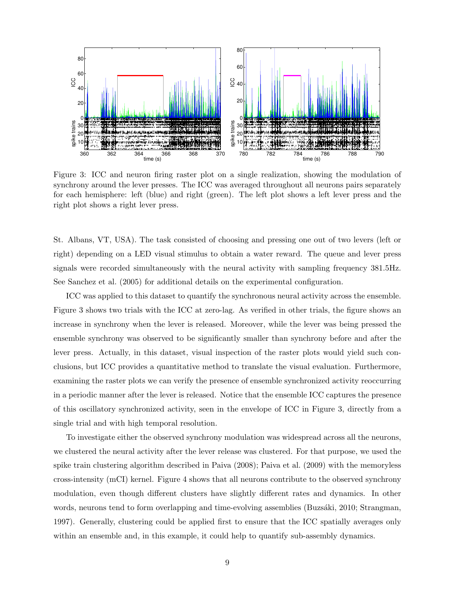

Figure 3: ICC and neuron firing raster plot on a single realization, showing the modulation of synchrony around the lever presses. The ICC was averaged throughout all neurons pairs separately for each hemisphere: left (blue) and right (green). The left plot shows a left lever press and the right plot shows a right lever press.

St. Albans, VT, USA). The task consisted of choosing and pressing one out of two levers (left or right) depending on a LED visual stimulus to obtain a water reward. The queue and lever press signals were recorded simultaneously with the neural activity with sampling frequency 381.5Hz. See Sanchez et al. (2005) for additional details on the experimental configuration.

ICC was applied to this dataset to quantify the synchronous neural activity across the ensemble. Figure 3 shows two trials with the ICC at zero-lag. As verified in other trials, the figure shows an increase in synchrony when the lever is released. Moreover, while the lever was being pressed the ensemble synchrony was observed to be significantly smaller than synchrony before and after the lever press. Actually, in this dataset, visual inspection of the raster plots would yield such conclusions, but ICC provides a quantitative method to translate the visual evaluation. Furthermore, examining the raster plots we can verify the presence of ensemble synchronized activity reoccurring in a periodic manner after the lever is released. Notice that the ensemble ICC captures the presence of this oscillatory synchronized activity, seen in the envelope of ICC in Figure 3, directly from a single trial and with high temporal resolution.

To investigate either the observed synchrony modulation was widespread across all the neurons, we clustered the neural activity after the lever release was clustered. For that purpose, we used the spike train clustering algorithm described in Paiva (2008); Paiva et al. (2009) with the memoryless cross-intensity (mCI) kernel. Figure 4 shows that all neurons contribute to the observed synchrony modulation, even though different clusters have slightly different rates and dynamics. In other words, neurons tend to form overlapping and time-evolving assemblies (Buzsáki, 2010; Strangman, 1997). Generally, clustering could be applied first to ensure that the ICC spatially averages only within an ensemble and, in this example, it could help to quantify sub-assembly dynamics.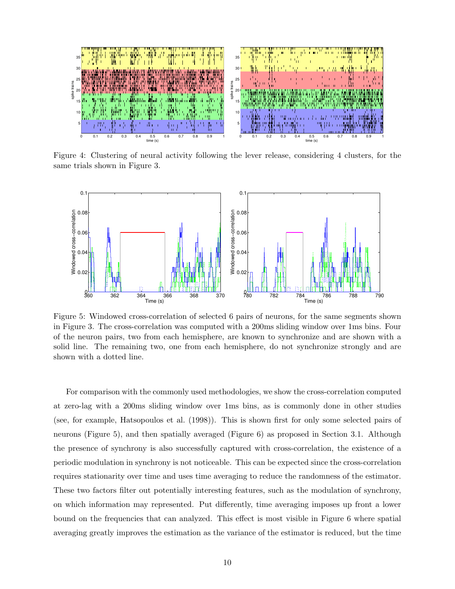

Figure 4: Clustering of neural activity following the lever release, considering 4 clusters, for the same trials shown in Figure 3.



Figure 5: Windowed cross-correlation of selected 6 pairs of neurons, for the same segments shown in Figure 3. The cross-correlation was computed with a 200ms sliding window over 1ms bins. Four of the neuron pairs, two from each hemisphere, are known to synchronize and are shown with a solid line. The remaining two, one from each hemisphere, do not synchronize strongly and are shown with a dotted line.

For comparison with the commonly used methodologies, we show the cross-correlation computed at zero-lag with a 200ms sliding window over 1ms bins, as is commonly done in other studies (see, for example, Hatsopoulos et al. (1998)). This is shown first for only some selected pairs of neurons (Figure 5), and then spatially averaged (Figure 6) as proposed in Section 3.1. Although the presence of synchrony is also successfully captured with cross-correlation, the existence of a periodic modulation in synchrony is not noticeable. This can be expected since the cross-correlation requires stationarity over time and uses time averaging to reduce the randomness of the estimator. These two factors filter out potentially interesting features, such as the modulation of synchrony, on which information may represented. Put differently, time averaging imposes up front a lower bound on the frequencies that can analyzed. This effect is most visible in Figure 6 where spatial averaging greatly improves the estimation as the variance of the estimator is reduced, but the time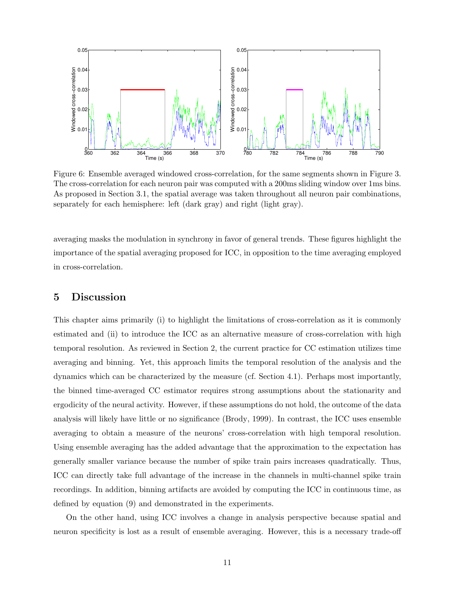

Figure 6: Ensemble averaged windowed cross-correlation, for the same segments shown in Figure 3. The cross-correlation for each neuron pair was computed with a 200ms sliding window over 1ms bins. As proposed in Section 3.1, the spatial average was taken throughout all neuron pair combinations, separately for each hemisphere: left (dark gray) and right (light gray).

averaging masks the modulation in synchrony in favor of general trends. These figures highlight the importance of the spatial averaging proposed for ICC, in opposition to the time averaging employed in cross-correlation.

## 5 Discussion

This chapter aims primarily (i) to highlight the limitations of cross-correlation as it is commonly estimated and (ii) to introduce the ICC as an alternative measure of cross-correlation with high temporal resolution. As reviewed in Section 2, the current practice for CC estimation utilizes time averaging and binning. Yet, this approach limits the temporal resolution of the analysis and the dynamics which can be characterized by the measure (cf. Section 4.1). Perhaps most importantly, the binned time-averaged CC estimator requires strong assumptions about the stationarity and ergodicity of the neural activity. However, if these assumptions do not hold, the outcome of the data analysis will likely have little or no significance (Brody, 1999). In contrast, the ICC uses ensemble averaging to obtain a measure of the neurons' cross-correlation with high temporal resolution. Using ensemble averaging has the added advantage that the approximation to the expectation has generally smaller variance because the number of spike train pairs increases quadratically. Thus, ICC can directly take full advantage of the increase in the channels in multi-channel spike train recordings. In addition, binning artifacts are avoided by computing the ICC in continuous time, as defined by equation (9) and demonstrated in the experiments.

On the other hand, using ICC involves a change in analysis perspective because spatial and neuron specificity is lost as a result of ensemble averaging. However, this is a necessary trade-off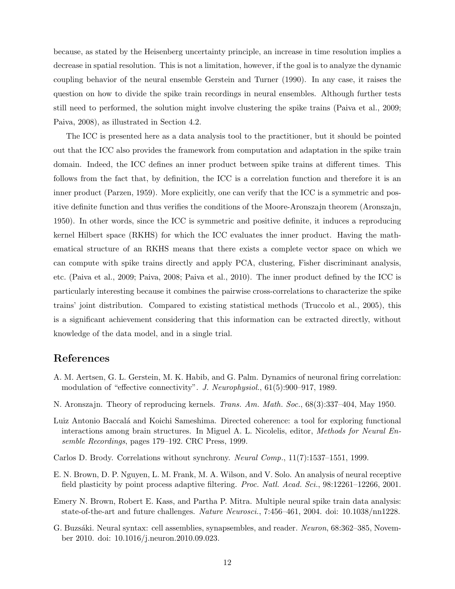because, as stated by the Heisenberg uncertainty principle, an increase in time resolution implies a decrease in spatial resolution. This is not a limitation, however, if the goal is to analyze the dynamic coupling behavior of the neural ensemble Gerstein and Turner (1990). In any case, it raises the question on how to divide the spike train recordings in neural ensembles. Although further tests still need to performed, the solution might involve clustering the spike trains (Paiva et al., 2009; Paiva, 2008), as illustrated in Section 4.2.

The ICC is presented here as a data analysis tool to the practitioner, but it should be pointed out that the ICC also provides the framework from computation and adaptation in the spike train domain. Indeed, the ICC defines an inner product between spike trains at different times. This follows from the fact that, by definition, the ICC is a correlation function and therefore it is an inner product (Parzen, 1959). More explicitly, one can verify that the ICC is a symmetric and positive definite function and thus verifies the conditions of the Moore-Aronszajn theorem (Aronszajn, 1950). In other words, since the ICC is symmetric and positive definite, it induces a reproducing kernel Hilbert space (RKHS) for which the ICC evaluates the inner product. Having the mathematical structure of an RKHS means that there exists a complete vector space on which we can compute with spike trains directly and apply PCA, clustering, Fisher discriminant analysis, etc. (Paiva et al., 2009; Paiva, 2008; Paiva et al., 2010). The inner product defined by the ICC is particularly interesting because it combines the pairwise cross-correlations to characterize the spike trains' joint distribution. Compared to existing statistical methods (Truccolo et al., 2005), this is a significant achievement considering that this information can be extracted directly, without knowledge of the data model, and in a single trial.

## References

- A. M. Aertsen, G. L. Gerstein, M. K. Habib, and G. Palm. Dynamics of neuronal firing correlation: modulation of "effective connectivity". J. Neurophysiol., 61(5):900–917, 1989.
- N. Aronszajn. Theory of reproducing kernels. Trans. Am. Math. Soc., 68(3):337–404, May 1950.
- Luiz Antonio Baccalá and Koichi Sameshima. Directed coherence: a tool for exploring functional interactions among brain structures. In Miguel A. L. Nicolelis, editor, Methods for Neural Ensemble Recordings, pages 179–192. CRC Press, 1999.
- Carlos D. Brody. Correlations without synchrony. Neural Comp., 11(7):1537–1551, 1999.
- E. N. Brown, D. P. Nguyen, L. M. Frank, M. A. Wilson, and V. Solo. An analysis of neural receptive field plasticity by point process adaptive filtering. Proc. Natl. Acad. Sci., 98:12261–12266, 2001.
- Emery N. Brown, Robert E. Kass, and Partha P. Mitra. Multiple neural spike train data analysis: state-of-the-art and future challenges. Nature Neurosci., 7:456–461, 2004. doi: 10.1038/nn1228.
- G. Buzsáki. Neural syntax: cell assemblies, synapsembles, and reader. Neuron, 68:362–385, November 2010. doi: 10.1016/j.neuron.2010.09.023.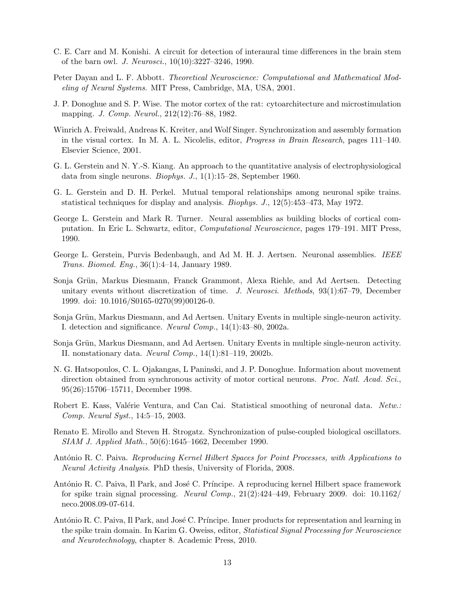- C. E. Carr and M. Konishi. A circuit for detection of interaural time differences in the brain stem of the barn owl. J. Neurosci., 10(10):3227–3246, 1990.
- Peter Dayan and L. F. Abbott. *Theoretical Neuroscience: Computational and Mathematical Mod*eling of Neural Systems. MIT Press, Cambridge, MA, USA, 2001.
- J. P. Donoghue and S. P. Wise. The motor cortex of the rat: cytoarchitecture and microstimulation mapping. J. Comp. Neurol., 212(12):76–88, 1982.
- Winrich A. Freiwald, Andreas K. Kreiter, and Wolf Singer. Synchronization and assembly formation in the visual cortex. In M. A. L. Nicolelis, editor, Progress in Brain Research, pages 111–140. Elsevier Science, 2001.
- G. L. Gerstein and N. Y.-S. Kiang. An approach to the quantitative analysis of electrophysiological data from single neurons. Biophys. J., 1(1):15–28, September 1960.
- G. L. Gerstein and D. H. Perkel. Mutual temporal relationships among neuronal spike trains. statistical techniques for display and analysis. Biophys. J., 12(5):453–473, May 1972.
- George L. Gerstein and Mark R. Turner. Neural assemblies as building blocks of cortical computation. In Eric L. Schwartz, editor, Computational Neuroscience, pages 179–191. MIT Press, 1990.
- George L. Gerstein, Purvis Bedenbaugh, and Ad M. H. J. Aertsen. Neuronal assemblies. IEEE Trans. Biomed. Eng., 36(1):4–14, January 1989.
- Sonja Grün, Markus Diesmann, Franck Grammont, Alexa Riehle, and Ad Aertsen. Detecting unitary events without discretization of time. J. Neurosci. Methods, 93(1):67–79, December 1999. doi: 10.1016/S0165-0270(99)00126-0.
- Sonja Grün, Markus Diesmann, and Ad Aertsen. Unitary Events in multiple single-neuron activity. I. detection and significance. Neural Comp., 14(1):43–80, 2002a.
- Sonja Grün, Markus Diesmann, and Ad Aertsen. Unitary Events in multiple single-neuron activity. II. nonstationary data. Neural Comp., 14(1):81–119, 2002b.
- N. G. Hatsopoulos, C. L. Ojakangas, L Paninski, and J. P. Donoghue. Information about movement direction obtained from synchronous activity of motor cortical neurons. Proc. Natl. Acad. Sci., 95(26):15706–15711, December 1998.
- Robert E. Kass, Valérie Ventura, and Can Cai. Statistical smoothing of neuronal data. Netw.: Comp. Neural Syst., 14:5–15, 2003.
- Renato E. Mirollo and Steven H. Strogatz. Synchronization of pulse-coupled biological oscillators. SIAM J. Applied Math., 50(6):1645–1662, December 1990.
- António R. C. Paiva. Reproducing Kernel Hilbert Spaces for Point Processes, with Applications to Neural Activity Analysis. PhD thesis, University of Florida, 2008.
- António R. C. Paiva, Il Park, and José C. Príncipe. A reproducing kernel Hilbert space framework for spike train signal processing. Neural Comp.,  $21(2):424-449$ , February 2009. doi:  $10.1162/$ neco.2008.09-07-614.
- António R. C. Paiva, Il Park, and José C. Príncipe. Inner products for representation and learning in the spike train domain. In Karim G. Oweiss, editor, Statistical Signal Processing for Neuroscience and Neurotechnology, chapter 8. Academic Press, 2010.